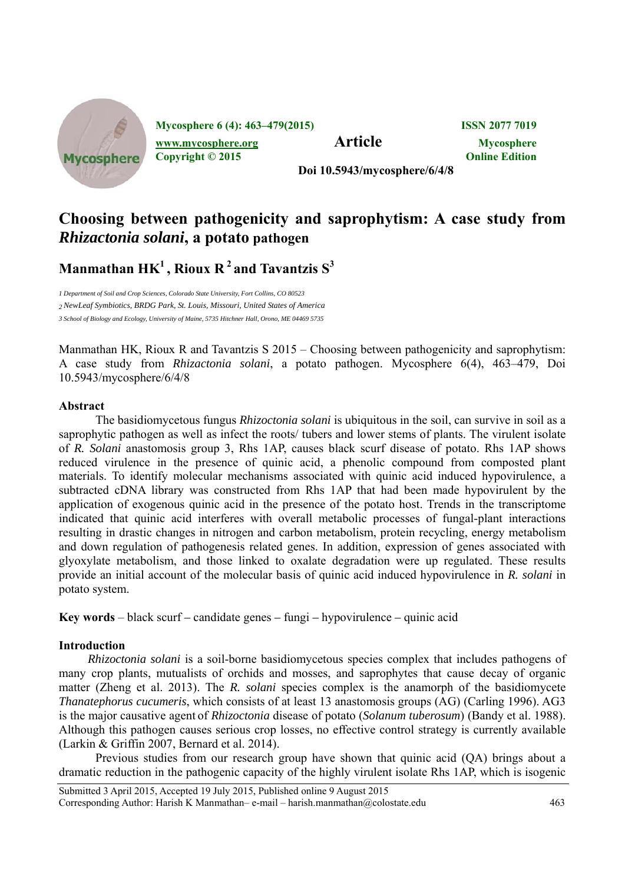

# **Choosing between pathogenicity and saprophytism: A case study from**  *Rhizactonia solani***, a potato pathogen**

**Manmathan**  $HK^1$ **, Rioux R**<sup>2</sup> and Tavantzis  $S^3$ 

*1 Department of Soil and Crop Sciences, Colorado State University, Fort Collins, CO 80523 2 NewLeaf Symbiotics, BRDG Park, St. Louis, Missouri, United States of America 3 School of Biology and Ecology, University of Maine, 5735 Hitchner Hall, Orono, ME 04469 5735*

Manmathan HK, Rioux R and Tavantzis S 2015 – Choosing between pathogenicity and saprophytism: A case study from *Rhizactonia solani*, a potato pathogen. Mycosphere 6(4), 463–479, Doi 10.5943/mycosphere/6/4/8

# **Abstract**

The basidiomycetous fungus *Rhizoctonia solani* is ubiquitous in the soil, can survive in soil as a saprophytic pathogen as well as infect the roots/ tubers and lower stems of plants. The virulent isolate of *R. Solani* anastomosis group 3, Rhs 1AP, causes black scurf disease of potato. Rhs 1AP shows reduced virulence in the presence of quinic acid, a phenolic compound from composted plant materials. To identify molecular mechanisms associated with quinic acid induced hypovirulence, a subtracted cDNA library was constructed from Rhs 1AP that had been made hypovirulent by the application of exogenous quinic acid in the presence of the potato host. Trends in the transcriptome indicated that quinic acid interferes with overall metabolic processes of fungal-plant interactions resulting in drastic changes in nitrogen and carbon metabolism, protein recycling, energy metabolism and down regulation of pathogenesis related genes. In addition, expression of genes associated with glyoxylate metabolism, and those linked to oxalate degradation were up regulated. These results provide an initial account of the molecular basis of quinic acid induced hypovirulence in *R. solani* in potato system.

**Key words** – black scurf *–* candidate genes *–* fungi *–* hypovirulence *–* quinic acid

## **Introduction**

*Rhizoctonia solani* is a soil-borne basidiomycetous species complex that includes pathogens of many crop plants, mutualists of orchids and mosses, and saprophytes that cause decay of organic matter (Zheng et al. 2013). The *R. solani* species complex is the anamorph of the basidiomycete *Thanatephorus cucumeris*, which consists of at least 13 anastomosis groups (AG) (Carling 1996). AG3 is the major causative agent of *Rhizoctonia* disease of potato (*Solanum tuberosum*) (Bandy et al. 1988). Although this pathogen causes serious crop losses, no effective control strategy is currently available (Larkin & Griffin 2007, Bernard et al. 2014).

Previous studies from our research group have shown that quinic acid (QA) brings about a dramatic reduction in the pathogenic capacity of the highly virulent isolate Rhs 1AP, which is isogenic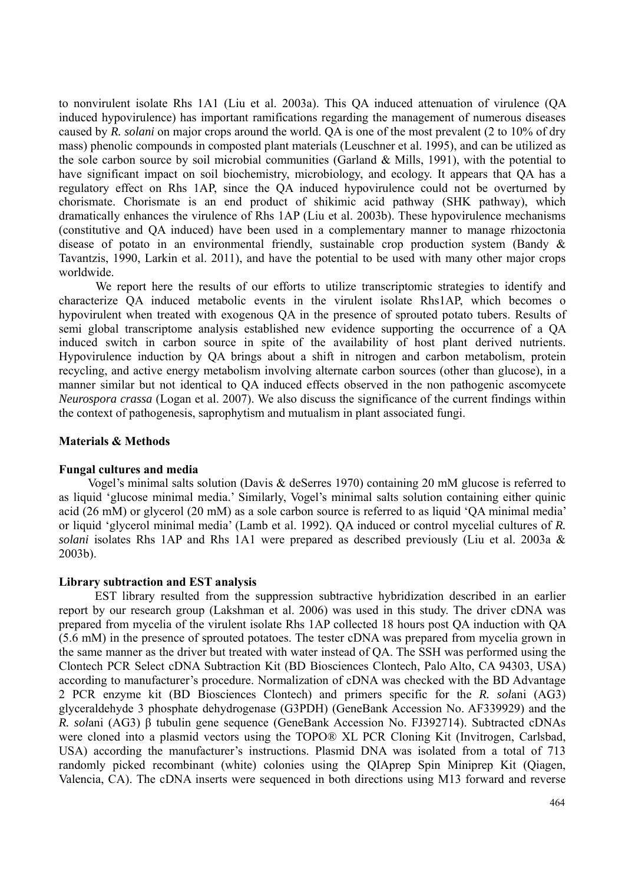to nonvirulent isolate Rhs 1A1 (Liu et al. 2003a). This QA induced attenuation of virulence (QA induced hypovirulence) has important ramifications regarding the management of numerous diseases caused by *R. solani* on major crops around the world. QA is one of the most prevalent (2 to 10% of dry mass) phenolic compounds in composted plant materials (Leuschner et al. 1995), and can be utilized as the sole carbon source by soil microbial communities (Garland & Mills, 1991), with the potential to have significant impact on soil biochemistry, microbiology, and ecology. It appears that QA has a regulatory effect on Rhs 1AP, since the QA induced hypovirulence could not be overturned by chorismate. Chorismate is an end product of shikimic acid pathway (SHK pathway), which dramatically enhances the virulence of Rhs 1AP (Liu et al. 2003b). These hypovirulence mechanisms (constitutive and QA induced) have been used in a complementary manner to manage rhizoctonia disease of potato in an environmental friendly, sustainable crop production system (Bandy & Tavantzis, 1990, Larkin et al. 2011), and have the potential to be used with many other major crops worldwide.

We report here the results of our efforts to utilize transcriptomic strategies to identify and characterize QA induced metabolic events in the virulent isolate Rhs1AP, which becomes o hypovirulent when treated with exogenous QA in the presence of sprouted potato tubers. Results of semi global transcriptome analysis established new evidence supporting the occurrence of a QA induced switch in carbon source in spite of the availability of host plant derived nutrients. Hypovirulence induction by QA brings about a shift in nitrogen and carbon metabolism, protein recycling, and active energy metabolism involving alternate carbon sources (other than glucose), in a manner similar but not identical to QA induced effects observed in the non pathogenic ascomycete *Neurospora crassa* (Logan et al. 2007). We also discuss the significance of the current findings within the context of pathogenesis, saprophytism and mutualism in plant associated fungi.

#### **Materials & Methods**

#### **Fungal cultures and media**

Vogel's minimal salts solution (Davis & deSerres 1970) containing 20 mM glucose is referred to as liquid 'glucose minimal media.' Similarly, Vogel's minimal salts solution containing either quinic acid (26 mM) or glycerol (20 mM) as a sole carbon source is referred to as liquid 'QA minimal media' or liquid 'glycerol minimal media' (Lamb et al. 1992). QA induced or control mycelial cultures of *R. solani* isolates Rhs 1AP and Rhs 1A1 were prepared as described previously (Liu et al. 2003a & 2003b).

#### **Library subtraction and EST analysis**

 EST library resulted from the suppression subtractive hybridization described in an earlier report by our research group (Lakshman et al. 2006) was used in this study. The driver cDNA was prepared from mycelia of the virulent isolate Rhs 1AP collected 18 hours post QA induction with QA (5.6 mM) in the presence of sprouted potatoes. The tester cDNA was prepared from mycelia grown in the same manner as the driver but treated with water instead of QA. The SSH was performed using the Clontech PCR Select cDNA Subtraction Kit (BD Biosciences Clontech, Palo Alto, CA 94303, USA) according to manufacturer's procedure. Normalization of cDNA was checked with the BD Advantage 2 PCR enzyme kit (BD Biosciences Clontech) and primers specific for the *R. sol*ani (AG3) glyceraldehyde 3 phosphate dehydrogenase (G3PDH) (GeneBank Accession No. AF339929) and the *R. sol*ani (AG3) β tubulin gene sequence (GeneBank Accession No. FJ392714). Subtracted cDNAs were cloned into a plasmid vectors using the TOPO® XL PCR Cloning Kit (Invitrogen, Carlsbad, USA) according the manufacturer's instructions. Plasmid DNA was isolated from a total of 713 randomly picked recombinant (white) colonies using the QIAprep Spin Miniprep Kit (Qiagen, Valencia, CA). The cDNA inserts were sequenced in both directions using M13 forward and reverse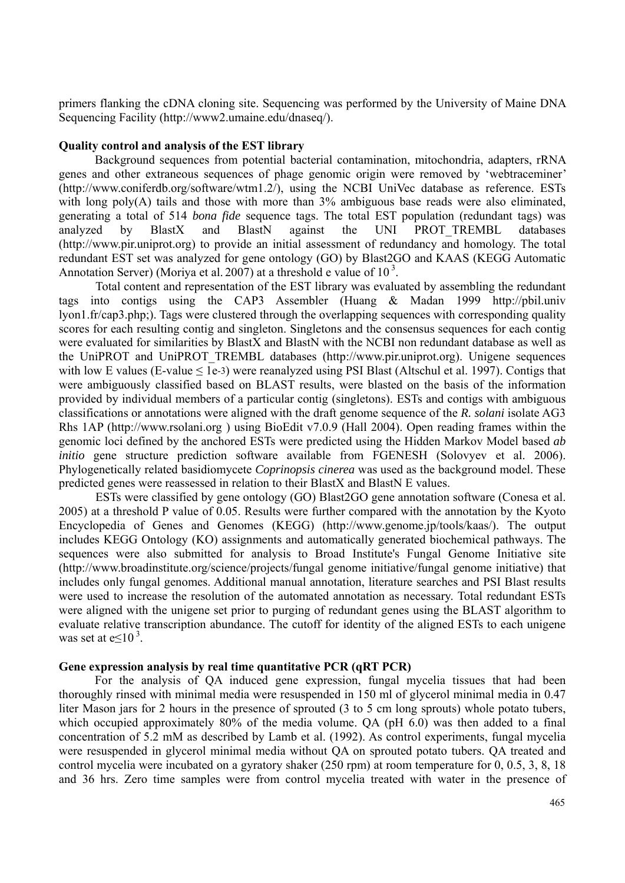primers flanking the cDNA cloning site. Sequencing was performed by the University of Maine DNA Sequencing Facility (http://www2.umaine.edu/dnaseq/).

# **Quality control and analysis of the EST library**

Background sequences from potential bacterial contamination, mitochondria, adapters, rRNA genes and other extraneous sequences of phage genomic origin were removed by 'webtraceminer' (http://www.coniferdb.org/software/wtm1.2/), using the NCBI UniVec database as reference. ESTs with long  $poly(A)$  tails and those with more than  $3\%$  ambiguous base reads were also eliminated, generating a total of 514 *bona fide* sequence tags. The total EST population (redundant tags) was analyzed by BlastX and BlastN against the UNI PROT\_TREMBL databases (http://www.pir.uniprot.org) to provide an initial assessment of redundancy and homology. The total redundant EST set was analyzed for gene ontology (GO) by Blast2GO and KAAS (KEGG Automatic Annotation Server) (Moriya et al. 2007) at a threshold e value of  $10<sup>3</sup>$ .

Total content and representation of the EST library was evaluated by assembling the redundant tags into contigs using the CAP3 Assembler (Huang & Madan 1999 http://pbil.univ lyon1.fr/cap3.php;). Tags were clustered through the overlapping sequences with corresponding quality scores for each resulting contig and singleton. Singletons and the consensus sequences for each contig were evaluated for similarities by BlastX and BlastN with the NCBI non redundant database as well as the UniPROT and UniPROT\_TREMBL databases (http://www.pir.uniprot.org). Unigene sequences with low E values (E-value  $\leq 1e^{-3}$ ) were reanalyzed using PSI Blast (Altschul et al. 1997). Contigs that were ambiguously classified based on BLAST results, were blasted on the basis of the information provided by individual members of a particular contig (singletons). ESTs and contigs with ambiguous classifications or annotations were aligned with the draft genome sequence of the *R. solani* isolate AG3 Rhs 1AP (http://www.rsolani.org ) using BioEdit v7.0.9 (Hall 2004). Open reading frames within the genomic loci defined by the anchored ESTs were predicted using the Hidden Markov Model based *ab initio* gene structure prediction software available from FGENESH (Solovyev et al. 2006). Phylogenetically related basidiomycete *Coprinopsis cinerea* was used as the background model. These predicted genes were reassessed in relation to their BlastX and BlastN E values.

ESTs were classified by gene ontology (GO) Blast2GO gene annotation software (Conesa et al. 2005) at a threshold P value of 0.05. Results were further compared with the annotation by the Kyoto Encyclopedia of Genes and Genomes (KEGG) (http://www.genome.jp/tools/kaas/). The output includes KEGG Ontology (KO) assignments and automatically generated biochemical pathways. The sequences were also submitted for analysis to Broad Institute's Fungal Genome Initiative site (http://www.broadinstitute.org/science/projects/fungal genome initiative/fungal genome initiative) that includes only fungal genomes. Additional manual annotation, literature searches and PSI Blast results were used to increase the resolution of the automated annotation as necessary. Total redundant ESTs were aligned with the unigene set prior to purging of redundant genes using the BLAST algorithm to evaluate relative transcription abundance. The cutoff for identity of the aligned ESTs to each unigene was set at  $e \le 10^3$ .

# **Gene expression analysis by real time quantitative PCR (qRT PCR)**

 For the analysis of QA induced gene expression, fungal mycelia tissues that had been thoroughly rinsed with minimal media were resuspended in 150 ml of glycerol minimal media in 0.47 liter Mason jars for 2 hours in the presence of sprouted (3 to 5 cm long sprouts) whole potato tubers, which occupied approximately 80% of the media volume. QA (pH 6.0) was then added to a final concentration of 5.2 mM as described by Lamb et al. (1992). As control experiments, fungal mycelia were resuspended in glycerol minimal media without QA on sprouted potato tubers. QA treated and control mycelia were incubated on a gyratory shaker (250 rpm) at room temperature for 0, 0.5, 3, 8, 18 and 36 hrs. Zero time samples were from control mycelia treated with water in the presence of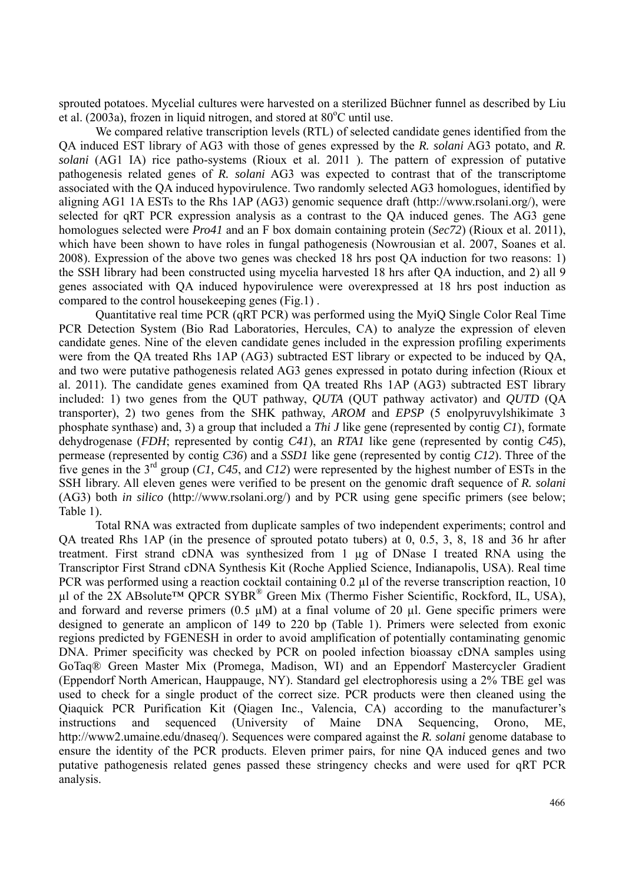sprouted potatoes. Mycelial cultures were harvested on a sterilized Büchner funnel as described by Liu et al. (2003a), frozen in liquid nitrogen, and stored at  $80^{\circ}$ C until use.

We compared relative transcription levels (RTL) of selected candidate genes identified from the QA induced EST library of AG3 with those of genes expressed by the *R. solani* AG3 potato, and *R. solani* (AG1 IA) rice patho-systems (Rioux et al. 2011 ). The pattern of expression of putative pathogenesis related genes of *R. solani* AG3 was expected to contrast that of the transcriptome associated with the QA induced hypovirulence. Two randomly selected AG3 homologues, identified by aligning AG1 1A ESTs to the Rhs 1AP (AG3) genomic sequence draft (http://www.rsolani.org/), were selected for qRT PCR expression analysis as a contrast to the QA induced genes. The AG3 gene homologues selected were *Pro41* and an F box domain containing protein (*Sec72*) (Rioux et al. 2011), which have been shown to have roles in fungal pathogenesis (Nowrousian et al. 2007, Soanes et al. 2008). Expression of the above two genes was checked 18 hrs post QA induction for two reasons: 1) the SSH library had been constructed using mycelia harvested 18 hrs after QA induction, and 2) all 9 genes associated with QA induced hypovirulence were overexpressed at 18 hrs post induction as compared to the control housekeeping genes (Fig.1) .

Quantitative real time PCR (qRT PCR) was performed using the MyiQ Single Color Real Time PCR Detection System (Bio Rad Laboratories, Hercules, CA) to analyze the expression of eleven candidate genes. Nine of the eleven candidate genes included in the expression profiling experiments were from the QA treated Rhs 1AP (AG3) subtracted EST library or expected to be induced by QA, and two were putative pathogenesis related AG3 genes expressed in potato during infection (Rioux et al. 2011). The candidate genes examined from QA treated Rhs 1AP (AG3) subtracted EST library included: 1) two genes from the QUT pathway, *QUTA* (QUT pathway activator) and *QUTD* (QA transporter), 2) two genes from the SHK pathway, *AROM* and *EPSP* (5 enolpyruvylshikimate 3 phosphate synthase) and, 3) a group that included a *Thi J* like gene (represented by contig *C1*), formate dehydrogenase (*FDH*; represented by contig *C41*), an *RTA1* like gene (represented by contig *C45*), permease (represented by contig *C36*) and a *SSD1* like gene (represented by contig *C12*). Three of the five genes in the 3rd group (*C1, C45*, and *C12*) were represented by the highest number of ESTs in the SSH library. All eleven genes were verified to be present on the genomic draft sequence of *R. solani* (AG3) both *in silico* (http://www.rsolani.org/) and by PCR using gene specific primers (see below; Table 1).

Total RNA was extracted from duplicate samples of two independent experiments; control and QA treated Rhs 1AP (in the presence of sprouted potato tubers) at 0, 0.5, 3, 8, 18 and 36 hr after treatment. First strand cDNA was synthesized from 1 µg of DNase I treated RNA using the Transcriptor First Strand cDNA Synthesis Kit (Roche Applied Science, Indianapolis, USA). Real time PCR was performed using a reaction cocktail containing 0.2 µl of the reverse transcription reaction, 10 µl of the  $2X$  ABsolute<sup>TM</sup> QPCR SYBR<sup>®</sup> Green Mix (Thermo Fisher Scientific, Rockford, IL, USA), and forward and reverse primers (0.5  $\mu$ M) at a final volume of 20  $\mu$ l. Gene specific primers were designed to generate an amplicon of 149 to 220 bp (Table 1). Primers were selected from exonic regions predicted by FGENESH in order to avoid amplification of potentially contaminating genomic DNA. Primer specificity was checked by PCR on pooled infection bioassay cDNA samples using GoTaq® Green Master Mix (Promega, Madison, WI) and an Eppendorf Mastercycler Gradient (Eppendorf North American, Hauppauge, NY). Standard gel electrophoresis using a 2% TBE gel was used to check for a single product of the correct size. PCR products were then cleaned using the Qiaquick PCR Purification Kit (Qiagen Inc., Valencia, CA) according to the manufacturer's instructions and sequenced (University of Maine DNA Sequencing, Orono, ME, http://www2.umaine.edu/dnaseq/). Sequences were compared against the *R. solani* genome database to ensure the identity of the PCR products. Eleven primer pairs, for nine QA induced genes and two putative pathogenesis related genes passed these stringency checks and were used for qRT PCR analysis.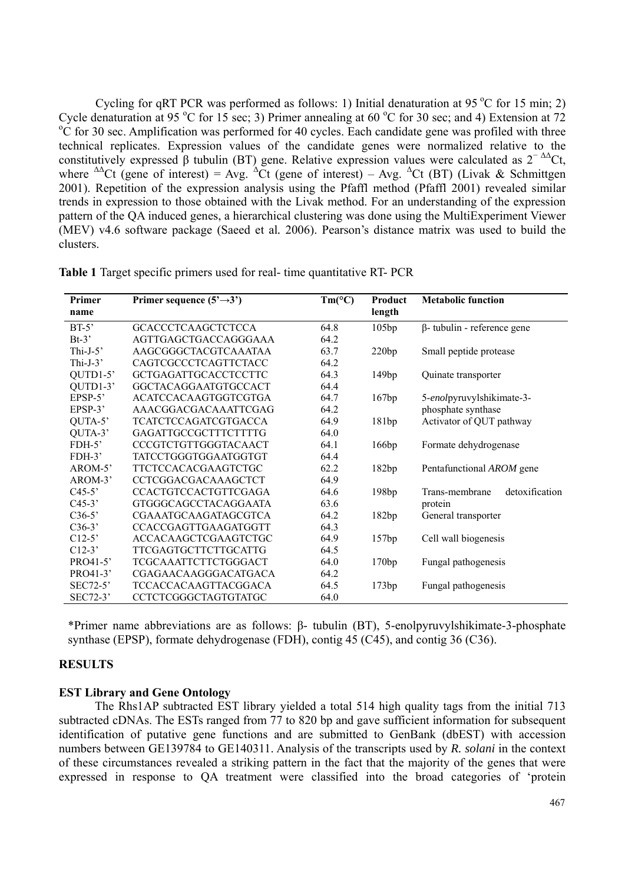Cycling for qRT PCR was performed as follows: 1) Initial denaturation at 95  $^{\circ}$ C for 15 min; 2) Cycle denaturation at 95 °C for 15 sec; 3) Primer annealing at 60 °C for 30 sec; and 4) Extension at 72  $^{\circ}$ C for 30 sec, and 4) Extension at 72 <sup>o</sup>C for 30 sec. Amplification was performed for 40 cycles. Each candidate gene was profiled with three technical replicates. Expression values of the candidate genes were normalized relative to the constitutively expressed β tubulin (BT) gene. Relative expression values were calculated as  $2^{-\Delta\Delta}$ Ct, where  $\Delta \Delta$ Ct (gene of interest) = Avg.  $\Delta$ Ct (gene of interest) – Avg.  $\Delta$ Ct (BT) (Livak & Schmittgen 2001). Repetition of the expression analysis using the Pfaffl method (Pfaffl 2001) revealed similar trends in expression to those obtained with the Livak method. For an understanding of the expression pattern of the QA induced genes, a hierarchical clustering was done using the MultiExperiment Viewer (MEV) v4.6 software package (Saeed et al*.* 2006). Pearson's distance matrix was used to build the clusters.

| Primer      | Primer sequence $(5' \rightarrow 3')$ | $Tm$ <sup>o</sup> C) | Product | <b>Metabolic function</b>          |  |
|-------------|---------------------------------------|----------------------|---------|------------------------------------|--|
| name        |                                       |                      | length  |                                    |  |
| $BT-5'$     | <b>GCACCCTCAAGCTCTCCA</b>             | 64.8                 | 105bp   | $\beta$ - tubulin - reference gene |  |
| $Bt-3'$     | AGTTGAGCTGACCAGGGAAA                  | 64.2                 |         |                                    |  |
| Thi-J- $5'$ | AAGCGGGCTACGTCAAATAA                  | 63.7                 | 220bp   | Small peptide protease             |  |
| Thi-J- $3'$ | CAGTCGCCCTCAGTTCTACC                  | 64.2                 |         |                                    |  |
| QUTD1-5'    | GCTGAGATTGCACCTCCTTC                  | 64.3                 | 149bp   | Quinate transporter                |  |
| QUTD1-3'    | GGCTACAGGAATGTGCCACT                  | 64.4                 |         |                                    |  |
| $EPSP-5$    | ACATCCACAAGTGGTCGTGA                  | 64.7                 | 167bp   | 5-enolpyruvylshikimate-3-          |  |
| $EPSP-3$    | AAACGGACGACAAATTCGAG                  | 64.2                 |         | phosphate synthase                 |  |
| QUTA-5'     | TCATCTCCAGATCGTGACCA                  | 64.9                 | 181bp   | Activator of QUT pathway           |  |
| QUTA-3'     | <b>GAGATTGCCGCTTTCTTTTG</b>           | 64.0                 |         |                                    |  |
| $FDH-5$     | CCCGTCTGTTGGGTACAACT                  | 64.1                 | 166bp   | Formate dehydrogenase              |  |
| $FDH-3'$    | TATCCTGGGTGGAATGGTGT                  | 64.4                 |         |                                    |  |
| AROM-5'     | <b>TTCTCCACACGAAGTCTGC</b>            | 62.2                 | 182bp   | Pentafunctional AROM gene          |  |
| $AROM-3'$   | CCTCGGACGACAAAGCTCT                   | 64.9                 |         |                                    |  |
| $C45-5'$    | <b>CCACTGTCCACTGTTCGAGA</b>           | 64.6                 | 198bp   | detoxification<br>Trans-membrane   |  |
| $C45-3'$    | GTGGGCAGCCTACAGGAATA                  | 63.6                 |         | protein                            |  |
| $C36-5'$    | CGAAATGCAAGATAGCGTCA                  | 64.2                 | 182bp   | General transporter                |  |
| $C36-3'$    | CCACCGAGTTGAAGATGGTT                  | 64.3                 |         |                                    |  |
| $C12-5$     | ACCACAAGCTCGAAGTCTGC                  | 64.9                 | 157bp   | Cell wall biogenesis               |  |
| $C12-3'$    | <b>TTCGAGTGCTTCTTGCATTG</b>           | 64.5                 |         |                                    |  |
| PRO41-5'    | TCGCAAATTCTTCTGGGACT                  | 64.0                 | 170bp   | Fungal pathogenesis                |  |
| PRO41-3'    | CGAGAACAAGGGACATGACA                  | 64.2                 |         |                                    |  |
| $SEC72-5'$  | TCCACCACAAGTTACGGACA                  | 64.5                 | 173bp   | Fungal pathogenesis                |  |
| SEC72-3'    | CCTCTCGGGCTAGTGTATGC                  | 64.0                 |         |                                    |  |

**Table 1** Target specific primers used for real- time quantitative RT- PCR

\*Primer name abbreviations are as follows: β- tubulin (BT), 5-enolpyruvylshikimate-3-phosphate synthase (EPSP), formate dehydrogenase (FDH), contig 45 (C45), and contig 36 (C36).

# **RESULTS**

## **EST Library and Gene Ontology**

 The Rhs1AP subtracted EST library yielded a total 514 high quality tags from the initial 713 subtracted cDNAs. The ESTs ranged from 77 to 820 bp and gave sufficient information for subsequent identification of putative gene functions and are submitted to GenBank (dbEST) with accession numbers between GE139784 to GE140311. Analysis of the transcripts used by *R. solani* in the context of these circumstances revealed a striking pattern in the fact that the majority of the genes that were expressed in response to QA treatment were classified into the broad categories of 'protein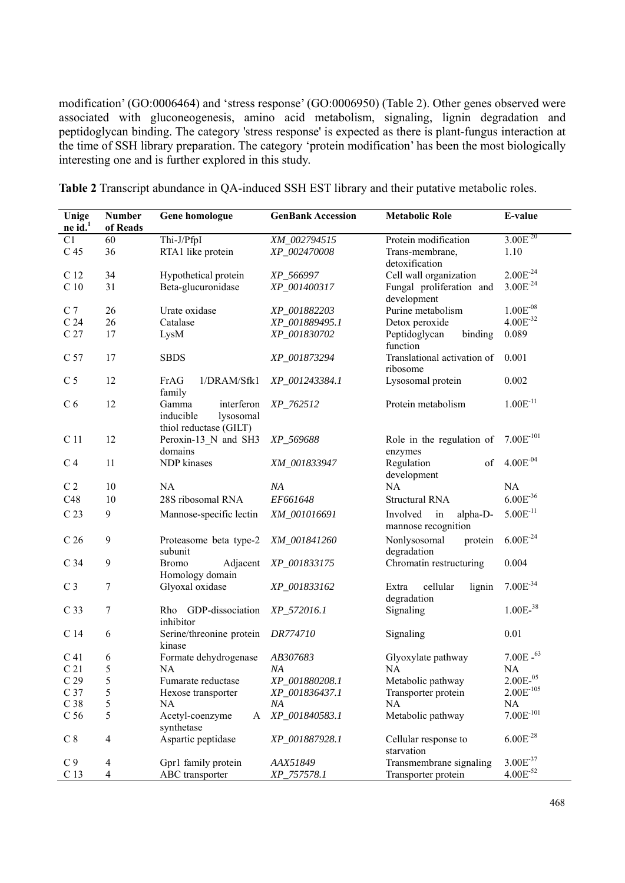modification' (GO:0006464) and 'stress response' (GO:0006950) (Table 2). Other genes observed were associated with gluconeogenesis, amino acid metabolism, signaling, lignin degradation and peptidoglycan binding. The category 'stress response' is expected as there is plant-fungus interaction at the time of SSH library preparation. The category 'protein modification' has been the most biologically interesting one and is further explored in this study.

**Table 2** Transcript abundance in QA-induced SSH EST library and their putative metabolic roles.

| Unige<br>$ne$ id. <sup>1</sup> | <b>Number</b><br>of Reads | Gene homologue                                                          | <b>GenBank Accession</b> | <b>Metabolic Role</b>                             | E-value                |
|--------------------------------|---------------------------|-------------------------------------------------------------------------|--------------------------|---------------------------------------------------|------------------------|
| C1                             | 60                        | Thi-J/PfpI                                                              | XM_002794515             | Protein modification                              | $3.00E^{-20}$          |
| C <sub>45</sub>                | 36                        | RTA1 like protein                                                       | XP_002470008             | Trans-membrane,<br>detoxification                 | 1.10                   |
| C <sub>12</sub>                | 34                        | Hypothetical protein                                                    | XP 566997                | Cell wall organization                            | $2.00E^{-24}$          |
| C <sub>10</sub>                | 31                        | Beta-glucuronidase                                                      | XP_001400317             | Fungal proliferation and<br>development           | $3.00E^{-24}$          |
| C <sub>7</sub>                 | 26                        | Urate oxidase                                                           | XP_001882203             | Purine metabolism                                 | $1.00E^{-08}$          |
| C <sub>24</sub>                | 26                        | Catalase                                                                | XP_001889495.1           | Detox peroxide                                    | $4.00E^{-32}$          |
| C <sub>27</sub>                | 17                        | LysM                                                                    | XP_001830702             | Peptidoglycan<br>binding<br>function              | 0.089                  |
| C 57                           | 17                        | <b>SBDS</b>                                                             | XP_001873294             | Translational activation of<br>ribosome           | 0.001                  |
| C <sub>5</sub>                 | 12                        | FrAG<br>1/DRAM/Sfk1<br>family                                           | XP_001243384.1           | Lysosomal protein                                 | 0.002                  |
| C <sub>6</sub>                 | 12                        | interferon<br>Gamma<br>lysosomal<br>inducible<br>thiol reductase (GILT) | XP_762512                | Protein metabolism                                | $1.00E^{-11}$          |
| C <sub>11</sub>                | 12                        | Peroxin-13 N and SH3<br>domains                                         | XP_569688                | Role in the regulation of<br>enzymes              | $7.00E^{-101}$         |
| C <sub>4</sub>                 | 11                        | NDP kinases                                                             | XM_001833947             | of<br>Regulation<br>development                   | $4.00E^{-04}$          |
| C <sub>2</sub>                 | 10                        | <b>NA</b>                                                               | NA                       | <b>NA</b>                                         | NA                     |
| C48                            | 10                        | 28S ribosomal RNA                                                       | EF661648                 | <b>Structural RNA</b>                             | $6.00E^{-36}$          |
| C <sub>23</sub>                | 9                         | Mannose-specific lectin                                                 | XM_001016691             | Involved<br>in<br>alpha-D-<br>mannose recognition | $5.00E^{-11}$          |
| C <sub>26</sub>                | 9                         | Proteasome beta type-2<br>subunit                                       | XM_001841260             | Nonlysosomal<br>protein<br>degradation            | $6.00E^{-24}$          |
| C 34                           | 9                         | <b>Bromo</b><br>Adjacent<br>Homology domain                             | XP_001833175             | Chromatin restructuring                           | 0.004                  |
| C <sub>3</sub>                 | $\tau$                    | Glyoxal oxidase                                                         | XP_001833162             | cellular<br>Extra<br>lignin<br>degradation        | $7.00E^{-34}$          |
| C <sub>33</sub>                | 7                         | GDP-dissociation<br>Rho<br>inhibitor                                    | XP_572016.1              | Signaling                                         | $1.00E-38$             |
| C 14                           | 6                         | Serine/threonine protein<br>kinase                                      | DR774710                 | Signaling                                         | 0.01                   |
| C <sub>41</sub>                | 6                         | Formate dehydrogenase                                                   | AB307683                 | Glyoxylate pathway                                | $7.00E - ^{63}$        |
| C <sub>21</sub>                | 5                         | NA                                                                      | NA                       | NA                                                | NA                     |
| C <sub>29</sub>                | 5                         | Fumarate reductase                                                      | XP_001880208.1           | Metabolic pathway                                 | $2.00E^{-05}$          |
| C 37                           | 5                         | Hexose transporter                                                      | XP_001836437.1           | Transporter protein                               | $2.00\mathrm{E}^{105}$ |
| C <sub>38</sub>                | 5                         | NA                                                                      | ΝA                       | NA                                                | NA                     |
| C <sub>56</sub>                | 5                         | Acetyl-coenzyme<br>A<br>synthetase                                      | XP_001840583.1           | Metabolic pathway                                 | $7.00E^{-101}$         |
| $\mathrm{C}$ 8                 | $\overline{4}$            | Aspartic peptidase                                                      | XP_001887928.1           | Cellular response to<br>starvation                | $6.00E^{-28}$          |
| C <sub>9</sub>                 | $\overline{\mathcal{A}}$  | Gpr1 family protein                                                     | AAX51849                 | Transmembrane signaling                           | $3.00E^{-37}$          |
| C <sub>13</sub>                | $\overline{4}$            | ABC transporter                                                         | XP_757578.1              | Transporter protein                               | $4.00E^{-52}$          |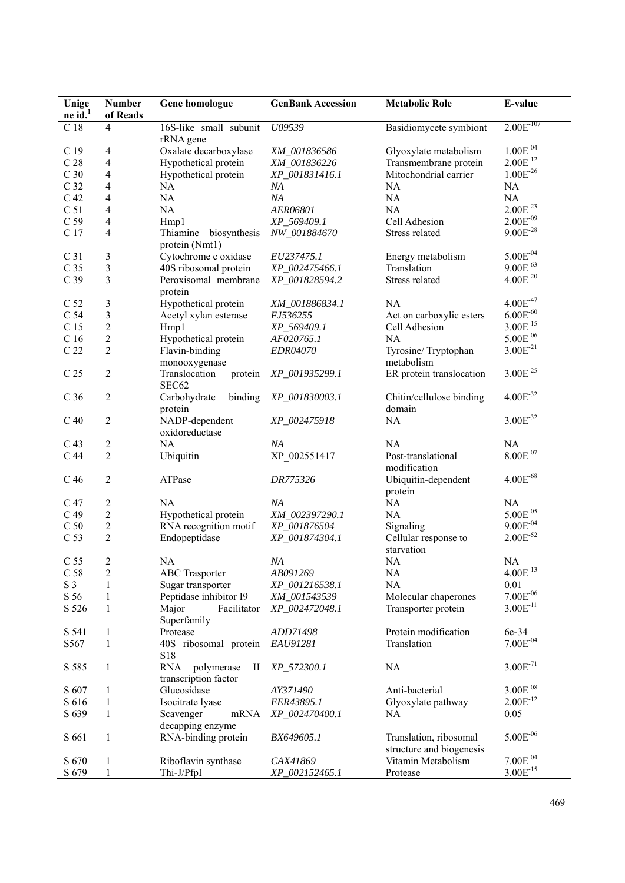| Unige           | <b>Number</b>           | Gene homologue                                                | <b>GenBank Accession</b> | <b>Metabolic Role</b>                              | E-value               |
|-----------------|-------------------------|---------------------------------------------------------------|--------------------------|----------------------------------------------------|-----------------------|
| $ne$ id. $1$    | of Reads                |                                                               |                          |                                                    |                       |
| C <sub>18</sub> | 4                       | 16S-like small subunit<br>rRNA gene                           | U09539                   | Basidiomycete symbiont                             | $2.00E^{-107}$        |
| C <sub>19</sub> | 4                       | Oxalate decarboxylase                                         | XM_001836586             | Glyoxylate metabolism                              | $1.00E^{-04}$         |
| C <sub>28</sub> | 4                       | Hypothetical protein                                          | XM_001836226             | Transmembrane protein                              | $2.00E^{-12}$         |
| C <sub>30</sub> | 4                       | Hypothetical protein                                          | XP_001831416.1           | Mitochondrial carrier                              | $1.00E^{-26}$         |
| C <sub>32</sub> | 4                       | NA                                                            | ΝA                       | NA                                                 | NA                    |
| C <sub>42</sub> | 4                       | NA                                                            | NA                       | NA                                                 | NA                    |
| C <sub>51</sub> | 4                       | NA                                                            | AER06801                 | NA                                                 | $2.00E^{-23}$         |
| C <sub>59</sub> | 4                       | Hmp1                                                          | XP_569409.1              | Cell Adhesion                                      | $2.00E^{-09}$         |
| C 17            | 4                       | Thiamine                                                      | NW_001884670             |                                                    | $9.00E^{-28}$         |
|                 |                         | biosynthesis<br>protein (Nmt1)                                |                          | Stress related                                     |                       |
| C <sub>31</sub> | 3                       | Cytochrome c oxidase                                          | EU237475.1               | Energy metabolism                                  | $5.00E^{-04}$         |
| C <sub>35</sub> | $\overline{\mathbf{3}}$ | 40S ribosomal protein                                         | XP_002475466.1           | Translation                                        | $9.00E^{-63}$         |
| C <sub>39</sub> | 3                       | Peroxisomal membrane<br>protein                               | XP_001828594.2           | Stress related                                     | $4.00E^{-20}$         |
| C <sub>52</sub> | 3                       | Hypothetical protein                                          | XM 001886834.1           | NA                                                 | $4.00E^{47}$          |
| C 54            | $\overline{\mathbf{3}}$ | Acetyl xylan esterase                                         | FJ536255                 | Act on carboxylic esters                           | $6.00E^{-60}$         |
| C 15            | $\overline{c}$          |                                                               |                          | Cell Adhesion                                      | $3.00E^{-15}$         |
|                 |                         | Hmp1                                                          | XP_569409.1              |                                                    | $5.00E^{-06}$         |
| C <sub>16</sub> | $\overline{c}$          | Hypothetical protein                                          | AF020765.1               | NA                                                 |                       |
| C <sub>22</sub> | $\overline{2}$          | Flavin-binding<br>monooxygenase                               | EDR04070                 | Tyrosine/Tryptophan<br>metabolism                  | $3.00E^{-21}$         |
| C <sub>25</sub> | 2                       | Translocation<br>protein<br>SEC62                             | XP_001935299.1           | ER protein translocation                           | $3.00E^{-25}$         |
| C <sub>36</sub> | 2                       | Carbohydrate<br>binding<br>protein                            | XP_001830003.1           | Chitin/cellulose binding<br>domain                 | $4.00E^{-32}$         |
| C <sub>40</sub> | 2                       | NADP-dependent<br>oxidoreductase                              | XP_002475918             | NA                                                 | $3.00E^{-32}$         |
| C <sub>43</sub> | 2                       | NA                                                            | NA                       | NA                                                 | NA                    |
|                 | $\overline{2}$          |                                                               |                          |                                                    | $8.00E^{-07}$         |
| C <sub>44</sub> |                         | Ubiquitin                                                     | XP_002551417             | Post-translational<br>modification                 |                       |
| C <sub>46</sub> | 2                       | ATPase                                                        | DR775326                 | Ubiquitin-dependent<br>protein                     | $4.00E^{-68}$         |
| C 47            | 2                       | <b>NA</b>                                                     | NA                       | NA                                                 | NA                    |
| C <sub>49</sub> | $\overline{c}$          | Hypothetical protein                                          | XM_002397290.1           | NA                                                 | $5.00E^{-05}$         |
| $\rm C$ 50      | $\overline{c}$          | RNA recognition motif                                         | XP_001876504             | Signaling                                          | $9.00E^{-04}$         |
| C <sub>53</sub> | $\overline{2}$          | Endopeptidase                                                 | XP_001874304.1           | Cellular response to<br>starvation                 | $2.00E^{-52}$         |
| C <sub>55</sub> | $\overline{c}$          | <b>NA</b>                                                     | NA                       | <b>NA</b>                                          | NA                    |
|                 |                         |                                                               |                          |                                                    | $4.00E^{-13}$         |
| C <sub>58</sub> | 2                       | <b>ABC</b> Trasporter                                         | AB091269                 | <b>NA</b>                                          |                       |
| S <sub>3</sub>  | 1                       | Sugar transporter                                             | XP_001216538.1           | NA                                                 | 0.01                  |
| S 56            | 1                       | Peptidase inhibitor I9                                        | XM_001543539             | Molecular chaperones                               | $7.00E^{-06}$         |
| S 526           | 1                       | Major<br>Facilitator<br>Superfamily                           | XP_002472048.1           | Transporter protein                                | $3.00E^{-11}$         |
| S 541           | 1                       | Protease                                                      | ADD71498                 | Protein modification                               | 6e-34                 |
| S567            | 1                       | 40S ribosomal protein<br>S18                                  | EAU91281                 | Translation                                        | $7.00E^{-04}$         |
| S 585           | 1                       | <b>RNA</b><br>polymerase<br>$\rm{II}$<br>transcription factor | XP_572300.1              | <b>NA</b>                                          | $3.00E^{-71}$         |
| S 607           | 1                       | Glucosidase                                                   | AY371490                 | Anti-bacterial                                     | $3.00E^{-08}$         |
| S 616           | 1                       | Isocitrate lyase                                              | EER43895.1               | Glyoxylate pathway                                 | $2.00E^{-12}$         |
| S 639           | 1                       | Scavenger<br>mRNA                                             | XP_002470400.1           | <b>NA</b>                                          | 0.05                  |
|                 |                         | decapping enzyme                                              |                          |                                                    |                       |
| S 661           | 1                       | RNA-binding protein                                           | BX649605.1               | Translation, ribosomal<br>structure and biogenesis | $5.00E^{-06}$         |
| S 670           | 1                       | Riboflavin synthase                                           | CAX41869                 | Vitamin Metabolism                                 | $7.00E^{-04}$         |
| S 679           | 1                       | Thi-J/PfpI                                                    | XP_002152465.1           | Protease                                           | $3.00\mathrm{E}^{15}$ |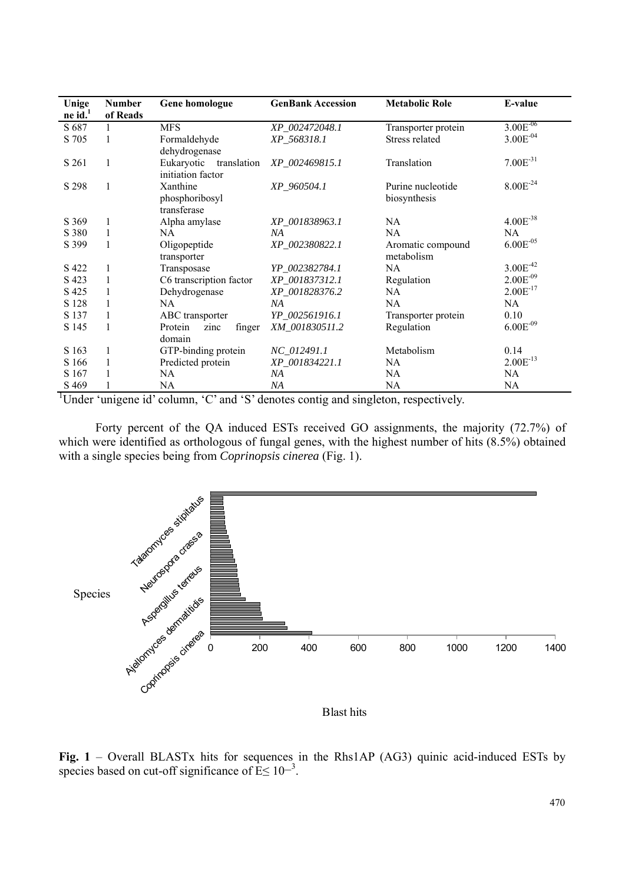| Unige        | <b>Number</b> | Gene homologue            | <b>GenBank Accession</b> | <b>Metabolic Role</b> | E-value       |
|--------------|---------------|---------------------------|--------------------------|-----------------------|---------------|
| $ne$ id. $1$ | of Reads      |                           |                          |                       |               |
| S 687        |               | <b>MFS</b>                | XP_002472048.1           | Transporter protein   | $3.00E^{-06}$ |
| S 705        |               | Formaldehyde              | XP 568318.1              | Stress related        | $3.00E^{-04}$ |
|              |               | dehydrogenase             |                          |                       |               |
| S 261        | 1             | Eukaryotic<br>translation | XP_002469815.1           | Translation           | $7.00E^{-31}$ |
|              |               | initiation factor         |                          |                       |               |
| S 298        | $\mathbf{1}$  | Xanthine                  | XP 960504.1              | Purine nucleotide     | $8.00E^{-24}$ |
|              |               | phosphoribosyl            |                          | biosynthesis          |               |
|              |               | transferase               |                          |                       |               |
| S 369        | 1             | Alpha amylase             | XP_001838963.1           | NA                    | $4.00E^{-38}$ |
| S 380        | 1             | NA                        | NA                       | NA                    | NA            |
| S 399        | 1             | Oligopeptide              | XP_002380822.1           | Aromatic compound     | $6.00E^{-05}$ |
|              |               | transporter               |                          | metabolism            |               |
| S 422        | 1             | Transposase               | YP_002382784.1           | <b>NA</b>             | $3.00E^{-42}$ |
| S 423        |               | C6 transcription factor   | XP_001837312.1           | Regulation            | $2.00E^{-09}$ |
| S 425        |               | Dehydrogenase             | XP_001828376.2           | NA                    | $2.00E^{-17}$ |
| S 128        |               | NA                        | NA                       | NA                    | NA            |
| S 137        |               | ABC transporter           | YP_002561916.1           | Transporter protein   | 0.10          |
| S 145        | 1             | Protein<br>zinc<br>finger | XM 001830511.2           | Regulation            | $6.00E^{-09}$ |
|              |               | domain                    |                          |                       |               |
| S 163        | 1             | GTP-binding protein       | NC_012491.1              | Metabolism            | 0.14          |
| S 166        |               | Predicted protein         | XP_001834221.1           | NA                    | $2.00E^{-13}$ |
| S 167        |               | NA                        | NА                       | NA                    | NA            |
| S 469        |               | NA                        | NA                       | <b>NA</b>             | NA            |

<sup>1</sup>Under 'unigene id' column, 'C' and 'S' denotes contig and singleton, respectively.

Forty percent of the QA induced ESTs received GO assignments, the majority (72.7%) of which were identified as orthologous of fungal genes, with the highest number of hits (8.5%) obtained with a single species being from *Coprinopsis cinerea* (Fig. 1).



Blast hits

**Fig. 1** – Overall BLASTx hits for sequences in the Rhs1AP (AG3) quinic acid-induced ESTs by species based on cut-off significance of  $E \le 10^{-3}$ .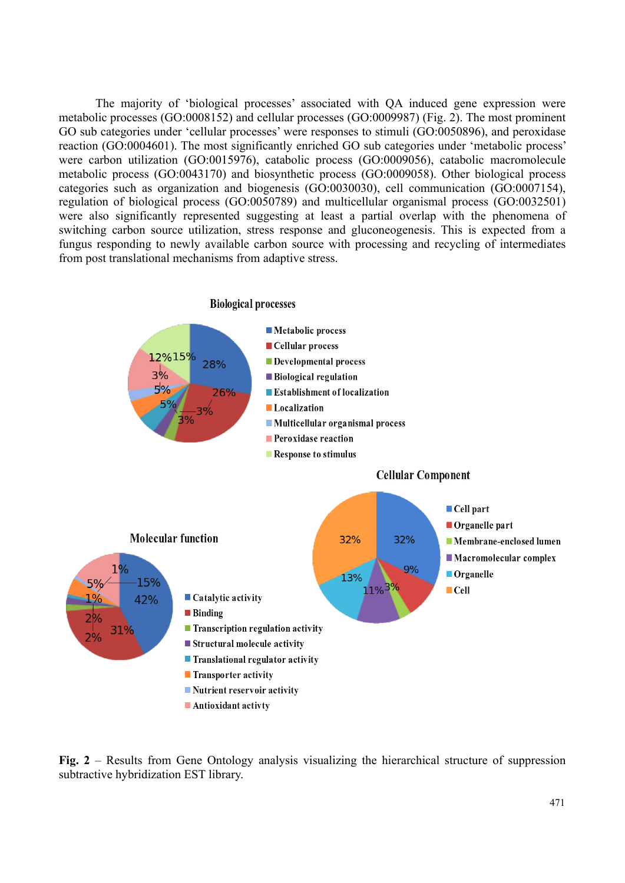The majority of 'biological processes' associated with QA induced gene expression were metabolic processes (GO:0008152) and cellular processes (GO:0009987) (Fig. 2). The most prominent GO sub categories under 'cellular processes' were responses to stimuli (GO:0050896), and peroxidase reaction (GO:0004601). The most significantly enriched GO sub categories under 'metabolic process' were carbon utilization (GO:0015976), catabolic process (GO:0009056), catabolic macromolecule metabolic process (GO:0043170) and biosynthetic process (GO:0009058). Other biological process categories such as organization and biogenesis (GO:0030030), cell communication (GO:0007154), regulation of biological process (GO:0050789) and multicellular organismal process (GO:0032501) were also significantly represented suggesting at least a partial overlap with the phenomena of switching carbon source utilization, stress response and gluconeogenesis. This is expected from a fungus responding to newly available carbon source with processing and recycling of intermediates from post translational mechanisms from adaptive stress.



**Fig. 2** – Results from Gene Ontology analysis visualizing the hierarchical structure of suppression subtractive hybridization EST library.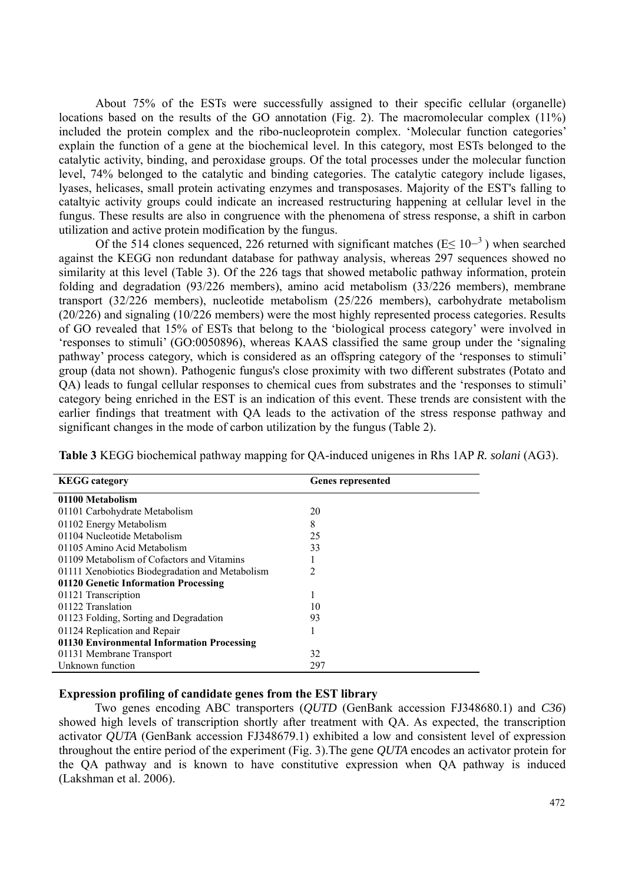About 75% of the ESTs were successfully assigned to their specific cellular (organelle) locations based on the results of the GO annotation (Fig. 2). The macromolecular complex (11%) included the protein complex and the ribo-nucleoprotein complex. 'Molecular function categories' explain the function of a gene at the biochemical level. In this category, most ESTs belonged to the catalytic activity, binding, and peroxidase groups. Of the total processes under the molecular function level, 74% belonged to the catalytic and binding categories. The catalytic category include ligases, lyases, helicases, small protein activating enzymes and transposases. Majority of the EST's falling to cataltyic activity groups could indicate an increased restructuring happening at cellular level in the fungus. These results are also in congruence with the phenomena of stress response, a shift in carbon utilization and active protein modification by the fungus.

Of the 514 clones sequenced, 226 returned with significant matches ( $E \le 10^{-3}$ ) when searched against the KEGG non redundant database for pathway analysis, whereas 297 sequences showed no similarity at this level (Table 3). Of the 226 tags that showed metabolic pathway information, protein folding and degradation (93/226 members), amino acid metabolism (33/226 members), membrane transport (32/226 members), nucleotide metabolism (25/226 members), carbohydrate metabolism (20/226) and signaling (10/226 members) were the most highly represented process categories. Results of GO revealed that 15% of ESTs that belong to the 'biological process category' were involved in 'responses to stimuli' (GO:0050896), whereas KAAS classified the same group under the 'signaling pathway' process category, which is considered as an offspring category of the 'responses to stimuli' group (data not shown). Pathogenic fungus's close proximity with two different substrates (Potato and QA) leads to fungal cellular responses to chemical cues from substrates and the 'responses to stimuli' category being enriched in the EST is an indication of this event. These trends are consistent with the earlier findings that treatment with QA leads to the activation of the stress response pathway and significant changes in the mode of carbon utilization by the fungus (Table 2).

|  |  | Table 3 KEGG biochemical pathway mapping for QA-induced unigenes in Rhs 1AP R. solani (AG3). |  |
|--|--|----------------------------------------------------------------------------------------------|--|
|--|--|----------------------------------------------------------------------------------------------|--|

| <b>KEGG</b> category                            | <b>Genes represented</b> |
|-------------------------------------------------|--------------------------|
| 01100 Metabolism                                |                          |
| 01101 Carbohydrate Metabolism                   | 20                       |
| 01102 Energy Metabolism                         | 8                        |
| 01104 Nucleotide Metabolism                     | 25                       |
| 01105 Amino Acid Metabolism                     | 33                       |
| 01109 Metabolism of Cofactors and Vitamins      |                          |
| 01111 Xenobiotics Biodegradation and Metabolism | 2                        |
| 01120 Genetic Information Processing            |                          |
| 01121 Transcription                             |                          |
| 01122 Translation                               | 10                       |
| 01123 Folding, Sorting and Degradation          | 93                       |
| 01124 Replication and Repair                    |                          |
| 01130 Environmental Information Processing      |                          |
| 01131 Membrane Transport                        | 32                       |
| Unknown function                                | 297                      |

#### **Expression profiling of candidate genes from the EST library**

 Two genes encoding ABC transporters (*QUTD* (GenBank accession FJ348680.1) and *C36*) showed high levels of transcription shortly after treatment with QA. As expected, the transcription activator *QUTA* (GenBank accession FJ348679.1) exhibited a low and consistent level of expression throughout the entire period of the experiment (Fig. 3).The gene *QUTA* encodes an activator protein for the QA pathway and is known to have constitutive expression when QA pathway is induced (Lakshman et al. 2006).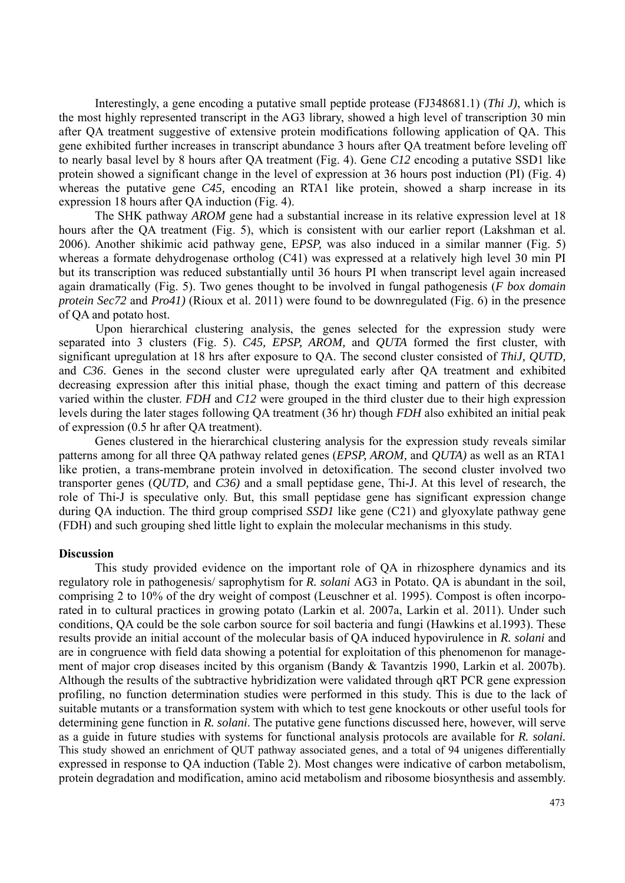Interestingly, a gene encoding a putative small peptide protease (FJ348681.1) (*Thi J)*, which is the most highly represented transcript in the AG3 library, showed a high level of transcription 30 min after QA treatment suggestive of extensive protein modifications following application of QA. This gene exhibited further increases in transcript abundance 3 hours after QA treatment before leveling off to nearly basal level by 8 hours after QA treatment (Fig. 4). Gene *C12* encoding a putative SSD1 like protein showed a significant change in the level of expression at 36 hours post induction (PI) (Fig. 4) whereas the putative gene C45, encoding an RTA1 like protein, showed a sharp increase in its expression 18 hours after QA induction (Fig. 4).

 The SHK pathway *AROM* gene had a substantial increase in its relative expression level at 18 hours after the QA treatment (Fig. 5), which is consistent with our earlier report (Lakshman et al. 2006). Another shikimic acid pathway gene, E*PSP,* was also induced in a similar manner (Fig. 5) whereas a formate dehydrogenase ortholog (C41) was expressed at a relatively high level 30 min PI but its transcription was reduced substantially until 36 hours PI when transcript level again increased again dramatically (Fig. 5). Two genes thought to be involved in fungal pathogenesis (*F box domain protein Sec72* and *Pro41)* (Rioux et al. 2011) were found to be downregulated (Fig. 6) in the presence of QA and potato host.

Upon hierarchical clustering analysis, the genes selected for the expression study were separated into 3 clusters (Fig. 5). *C45, EPSP, AROM,* and *QUTA* formed the first cluster, with significant upregulation at 18 hrs after exposure to QA. The second cluster consisted of *ThiJ, QUTD,*  and *C36*. Genes in the second cluster were upregulated early after QA treatment and exhibited decreasing expression after this initial phase, though the exact timing and pattern of this decrease varied within the cluster. *FDH* and *C12* were grouped in the third cluster due to their high expression levels during the later stages following QA treatment (36 hr) though *FDH* also exhibited an initial peak of expression (0.5 hr after QA treatment).

 Genes clustered in the hierarchical clustering analysis for the expression study reveals similar patterns among for all three QA pathway related genes (*EPSP, AROM,* and *QUTA)* as well as an RTA1 like protien, a trans-membrane protein involved in detoxification. The second cluster involved two transporter genes (*QUTD,* and *C36)* and a small peptidase gene, Thi-J. At this level of research, the role of Thi-J is speculative only. But, this small peptidase gene has significant expression change during QA induction. The third group comprised *SSD1* like gene (C21) and glyoxylate pathway gene (FDH) and such grouping shed little light to explain the molecular mechanisms in this study.

#### **Discussion**

 This study provided evidence on the important role of QA in rhizosphere dynamics and its regulatory role in pathogenesis/ saprophytism for *R. solani* AG3 in Potato. QA is abundant in the soil, comprising 2 to 10% of the dry weight of compost (Leuschner et al. 1995). Compost is often incorporated in to cultural practices in growing potato (Larkin et al. 2007a, Larkin et al. 2011). Under such conditions, QA could be the sole carbon source for soil bacteria and fungi (Hawkins et al.1993). These results provide an initial account of the molecular basis of QA induced hypovirulence in *R. solani* and are in congruence with field data showing a potential for exploitation of this phenomenon for management of major crop diseases incited by this organism (Bandy & Tavantzis 1990, Larkin et al. 2007b). Although the results of the subtractive hybridization were validated through qRT PCR gene expression profiling, no function determination studies were performed in this study. This is due to the lack of suitable mutants or a transformation system with which to test gene knockouts or other useful tools for determining gene function in *R. solani*. The putative gene functions discussed here, however, will serve as a guide in future studies with systems for functional analysis protocols are available for *R. solani.*  This study showed an enrichment of QUT pathway associated genes, and a total of 94 unigenes differentially expressed in response to QA induction (Table 2). Most changes were indicative of carbon metabolism, protein degradation and modification, amino acid metabolism and ribosome biosynthesis and assembly.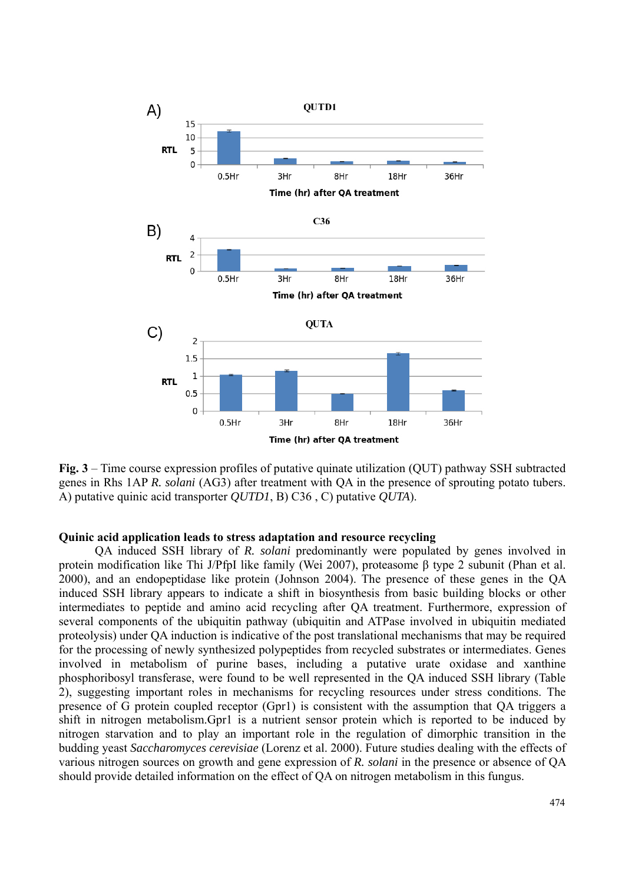

**Fig. 3** – Time course expression profiles of putative quinate utilization (QUT) pathway SSH subtracted genes in Rhs 1AP *R. solani* (AG3) after treatment with QA in the presence of sprouting potato tubers. A) putative quinic acid transporter *QUTD1*, B) C36 , C) putative *QUTA*).

## **Quinic acid application leads to stress adaptation and resource recycling**

 QA induced SSH library of *R. solani* predominantly were populated by genes involved in protein modification like Thi J/PfpI like family (Wei 2007), proteasome β type 2 subunit (Phan et al. 2000), and an endopeptidase like protein (Johnson 2004). The presence of these genes in the QA induced SSH library appears to indicate a shift in biosynthesis from basic building blocks or other intermediates to peptide and amino acid recycling after QA treatment. Furthermore, expression of several components of the ubiquitin pathway (ubiquitin and ATPase involved in ubiquitin mediated proteolysis) under QA induction is indicative of the post translational mechanisms that may be required for the processing of newly synthesized polypeptides from recycled substrates or intermediates. Genes involved in metabolism of purine bases, including a putative urate oxidase and xanthine phosphoribosyl transferase, were found to be well represented in the QA induced SSH library (Table 2), suggesting important roles in mechanisms for recycling resources under stress conditions. The presence of G protein coupled receptor (Gpr1) is consistent with the assumption that QA triggers a shift in nitrogen metabolism.Gpr1 is a nutrient sensor protein which is reported to be induced by nitrogen starvation and to play an important role in the regulation of dimorphic transition in the budding yeast *Saccharomyces cerevisiae* (Lorenz et al. 2000). Future studies dealing with the effects of various nitrogen sources on growth and gene expression of *R. solani* in the presence or absence of QA should provide detailed information on the effect of QA on nitrogen metabolism in this fungus.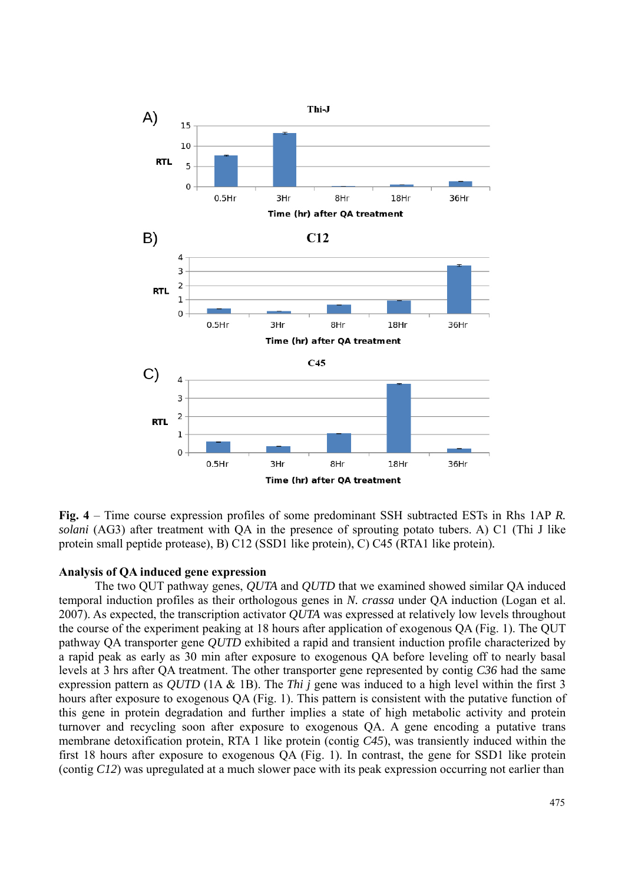

**Fig. 4** – Time course expression profiles of some predominant SSH subtracted ESTs in Rhs 1AP *R. solani* (AG3) after treatment with QA in the presence of sprouting potato tubers. A) C1 (Thi J like protein small peptide protease), B) C12 (SSD1 like protein), C) C45 (RTA1 like protein)*.*

## **Analysis of QA induced gene expression**

 The two QUT pathway genes, *QUTA* and *QUTD* that we examined showed similar QA induced temporal induction profiles as their orthologous genes in *N. crassa* under QA induction (Logan et al. 2007). As expected, the transcription activator *QUTA* was expressed at relatively low levels throughout the course of the experiment peaking at 18 hours after application of exogenous QA (Fig. 1). The QUT pathway QA transporter gene *QUTD* exhibited a rapid and transient induction profile characterized by a rapid peak as early as 30 min after exposure to exogenous QA before leveling off to nearly basal levels at 3 hrs after QA treatment. The other transporter gene represented by contig *C36* had the same expression pattern as *QUTD* (1A & 1B). The *Thi j* gene was induced to a high level within the first 3 hours after exposure to exogenous QA (Fig. 1). This pattern is consistent with the putative function of this gene in protein degradation and further implies a state of high metabolic activity and protein turnover and recycling soon after exposure to exogenous QA. A gene encoding a putative trans membrane detoxification protein, RTA 1 like protein (contig *C45*), was transiently induced within the first 18 hours after exposure to exogenous QA (Fig. 1). In contrast, the gene for SSD1 like protein (contig *C12*) was upregulated at a much slower pace with its peak expression occurring not earlier than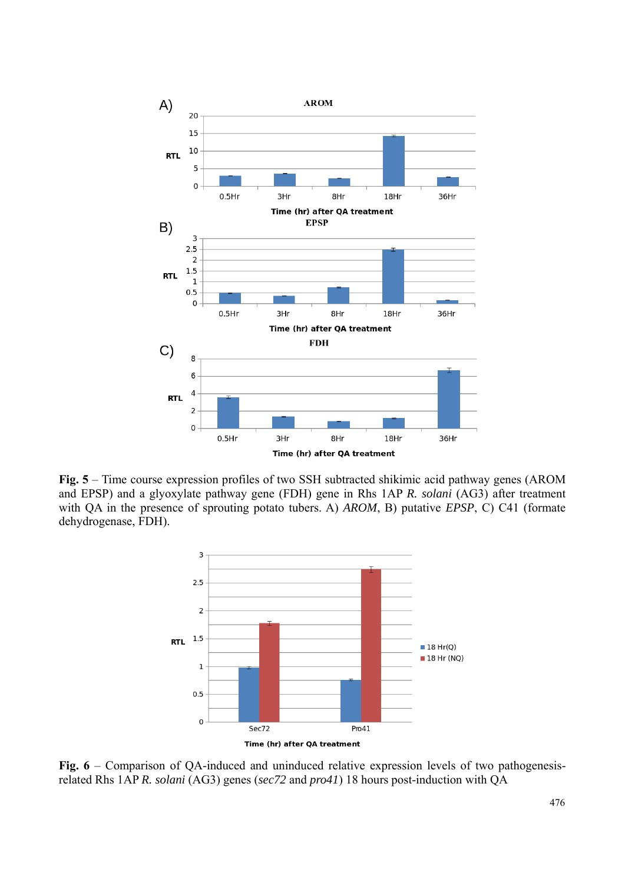

**Fig. 5** – Time course expression profiles of two SSH subtracted shikimic acid pathway genes (AROM and EPSP) and a glyoxylate pathway gene (FDH) gene in Rhs 1AP *R. solani* (AG3) after treatment with QA in the presence of sprouting potato tubers. A) *AROM*, B) putative *EPSP*, C) C41 (formate dehydrogenase, FDH).



Fig. 6 – Comparison of QA-induced and uninduced relative expression levels of two pathogenesisrelated Rhs 1AP *R. solani* (AG3) genes (*sec72* and *pro41*) 18 hours post-induction with QA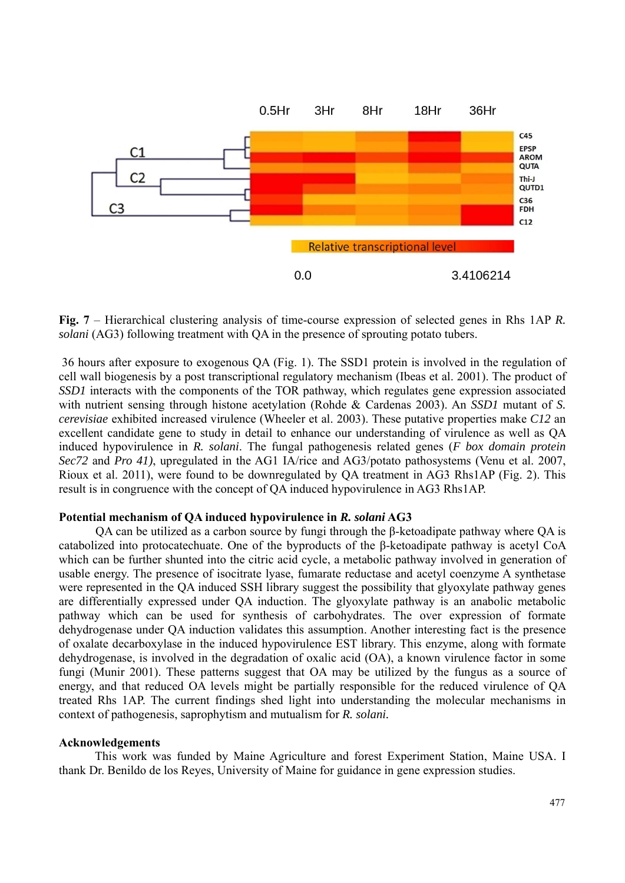

**Fig. 7** – Hierarchical clustering analysis of time-course expression of selected genes in Rhs 1AP *R. solani* (AG3) following treatment with QA in the presence of sprouting potato tubers.

 36 hours after exposure to exogenous QA (Fig. 1). The SSD1 protein is involved in the regulation of cell wall biogenesis by a post transcriptional regulatory mechanism (Ibeas et al. 2001). The product of *SSD1* interacts with the components of the TOR pathway, which regulates gene expression associated with nutrient sensing through histone acetylation (Rohde & Cardenas 2003). An *SSD1* mutant of *S. cerevisiae* exhibited increased virulence (Wheeler et al. 2003). These putative properties make *C12* an excellent candidate gene to study in detail to enhance our understanding of virulence as well as QA induced hypovirulence in *R. solani*. The fungal pathogenesis related genes (*F box domain protein Sec72* and *Pro 41)*, upregulated in the AG1 IA/rice and AG3/potato pathosystems (Venu et al. 2007, Rioux et al. 2011), were found to be downregulated by QA treatment in AG3 Rhs1AP (Fig. 2). This result is in congruence with the concept of QA induced hypovirulence in AG3 Rhs1AP.

#### **Potential mechanism of QA induced hypovirulence in** *R. solani* **AG3**

QA can be utilized as a carbon source by fungi through the β-ketoadipate pathway where QA is catabolized into protocatechuate. One of the byproducts of the β-ketoadipate pathway is acetyl CoA which can be further shunted into the citric acid cycle, a metabolic pathway involved in generation of usable energy. The presence of isocitrate lyase, fumarate reductase and acetyl coenzyme A synthetase were represented in the QA induced SSH library suggest the possibility that glyoxylate pathway genes are differentially expressed under QA induction. The glyoxylate pathway is an anabolic metabolic pathway which can be used for synthesis of carbohydrates. The over expression of formate dehydrogenase under QA induction validates this assumption. Another interesting fact is the presence of oxalate decarboxylase in the induced hypovirulence EST library. This enzyme, along with formate dehydrogenase, is involved in the degradation of oxalic acid (OA), a known virulence factor in some fungi (Munir 2001). These patterns suggest that OA may be utilized by the fungus as a source of energy, and that reduced OA levels might be partially responsible for the reduced virulence of QA treated Rhs 1AP. The current findings shed light into understanding the molecular mechanisms in context of pathogenesis, saprophytism and mutualism for *R. solani.*

#### **Acknowledgements**

This work was funded by Maine Agriculture and forest Experiment Station, Maine USA. I thank Dr. Benildo de los Reyes, University of Maine for guidance in gene expression studies.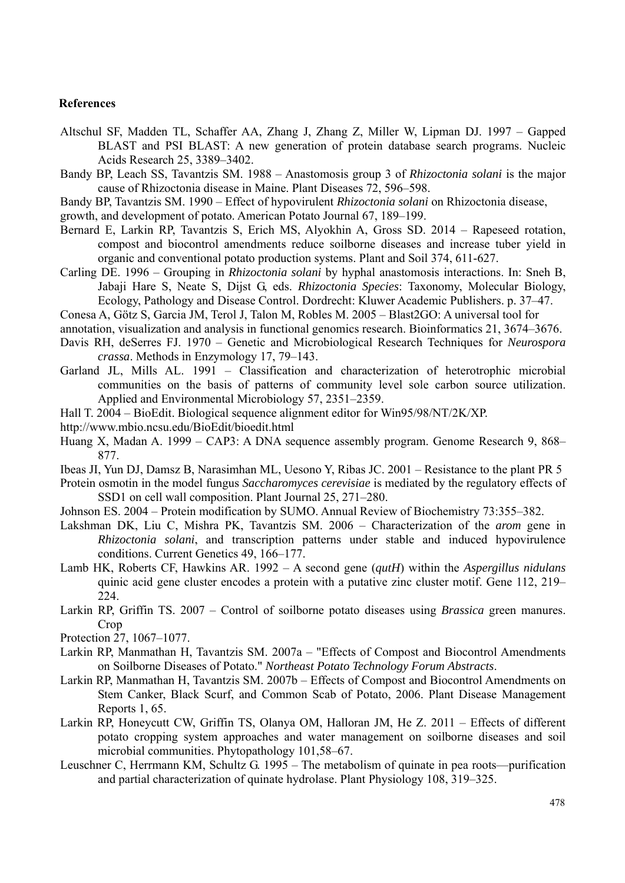# **References**

- Altschul SF, Madden TL, Schaffer AA, Zhang J, Zhang Z, Miller W, Lipman DJ. 1997 Gapped BLAST and PSI BLAST: A new generation of protein database search programs. Nucleic Acids Research 25, 3389–3402.
- Bandy BP, Leach SS, Tavantzis SM. 1988 Anastomosis group 3 of *Rhizoctonia solani* is the major cause of Rhizoctonia disease in Maine. Plant Diseases 72, 596–598.
- Bandy BP, Tavantzis SM. 1990 Effect of hypovirulent *Rhizoctonia solani* on Rhizoctonia disease,
- growth, and development of potato. American Potato Journal 67, 189–199.
- Bernard E, Larkin RP, Tavantzis S, Erich MS, Alyokhin A, Gross SD. 2014 Rapeseed rotation, compost and biocontrol amendments reduce soilborne diseases and increase tuber yield in organic and conventional potato production systems. Plant and Soil 374, 611-627.
- Carling DE. 1996 Grouping in *Rhizoctonia solani* by hyphal anastomosis interactions. In: Sneh B, Jabaji Hare S, Neate S, Dijst G, eds. *Rhizoctonia Species*: Taxonomy, Molecular Biology, Ecology, Pathology and Disease Control. Dordrecht: Kluwer Academic Publishers. p. 37–47.
- Conesa A, Götz S, Garcia JM, Terol J, Talon M, Robles M. 2005 Blast2GO: A universal tool for
- annotation, visualization and analysis in functional genomics research. Bioinformatics 21, 3674–3676.
- Davis RH, deSerres FJ. 1970 Genetic and Microbiological Research Techniques for *Neurospora crassa*. Methods in Enzymology 17, 79–143.
- Garland JL, Mills AL. 1991 Classification and characterization of heterotrophic microbial communities on the basis of patterns of community level sole carbon source utilization. Applied and Environmental Microbiology 57, 2351–2359.
- Hall T. 2004 BioEdit. Biological sequence alignment editor for Win95/98/NT/2K/XP.
- http://www.mbio.ncsu.edu/BioEdit/bioedit.html
- Huang X, Madan A. 1999 CAP3: A DNA sequence assembly program. Genome Research 9, 868– 877.
- Ibeas JI, Yun DJ, Damsz B, Narasimhan ML, Uesono Y, Ribas JC. 2001 Resistance to the plant PR 5
- Protein osmotin in the model fungus *Saccharomyces cerevisiae* is mediated by the regulatory effects of SSD1 on cell wall composition. Plant Journal 25, 271–280.
- Johnson ES. 2004 Protein modification by SUMO. Annual Review of Biochemistry 73:355–382.
- Lakshman DK, Liu C, Mishra PK, Tavantzis SM. 2006 Characterization of the *arom* gene in *Rhizoctonia solani*, and transcription patterns under stable and induced hypovirulence conditions. Current Genetics 49, 166–177.
- Lamb HK, Roberts CF, Hawkins AR. 1992 A second gene (*qutH*) within the *Aspergillus nidulans* quinic acid gene cluster encodes a protein with a putative zinc cluster motif. Gene 112, 219– 224.
- Larkin RP, Griffin TS. 2007 Control of soilborne potato diseases using *Brassica* green manures. **Crop**
- Protection 27, 1067–1077.
- Larkin RP, Manmathan H, Tavantzis SM. 2007a "Effects of Compost and Biocontrol Amendments on Soilborne Diseases of Potato." *Northeast Potato Technology Forum Abstracts*.
- Larkin RP, Manmathan H, Tavantzis SM. 2007b Effects of Compost and Biocontrol Amendments on Stem Canker, Black Scurf, and Common Scab of Potato, 2006. Plant Disease Management Reports 1, 65.
- Larkin RP, Honeycutt CW, Griffin TS, Olanya OM, Halloran JM, He Z. 2011 Effects of different potato cropping system approaches and water management on soilborne diseases and soil microbial communities. Phytopathology 101,58–67.
- Leuschner C, Herrmann KM, Schultz G. 1995 The metabolism of quinate in pea roots—purification and partial characterization of quinate hydrolase. Plant Physiology 108, 319–325.